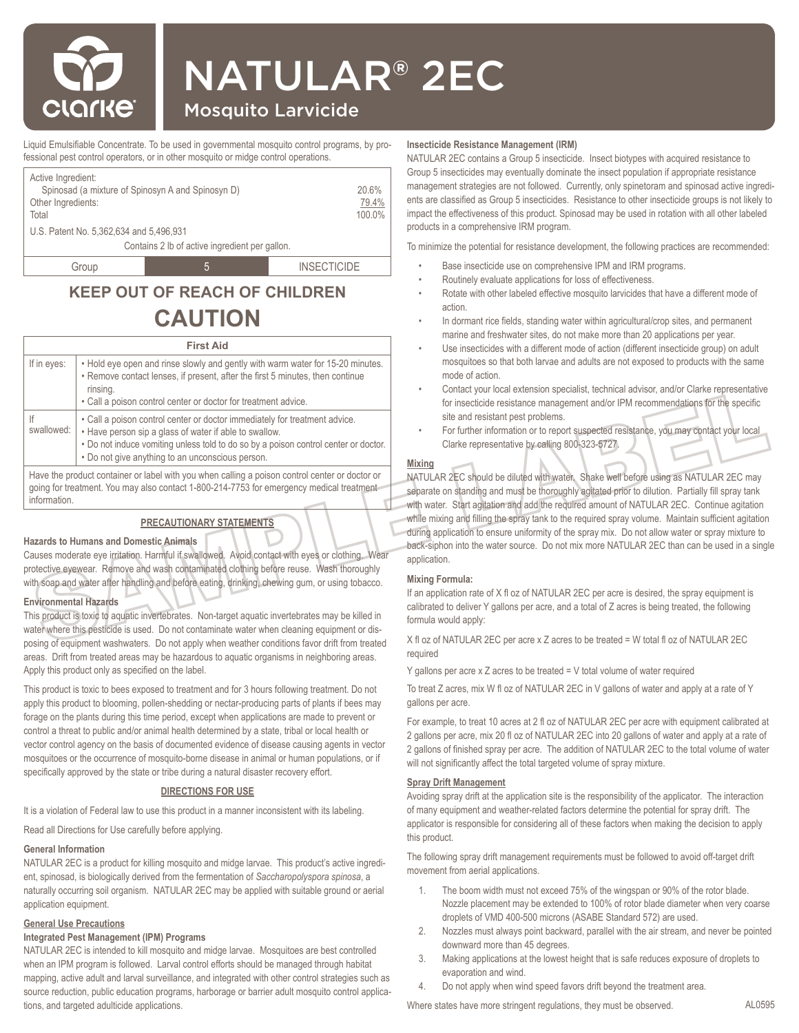

# NATULAR® 2EC

## Mosquito Larvicide

Liquid Emulsifiable Concentrate. To be used in governmental mosquito control programs, by professional pest control operators, or in other mosquito or midge control operations.

| Active Ingredient:<br>Spinosad (a mixture of Spinosyn A and Spinosyn D)<br>Other Ingredients:<br>Total<br>U.S. Patent No. 5,362,634 and 5,496,931 | Contains 2 lb of active ingredient per gallon. | 20.6%<br>79.4%<br>100.0% |  |  |
|---------------------------------------------------------------------------------------------------------------------------------------------------|------------------------------------------------|--------------------------|--|--|
|                                                                                                                                                   |                                                |                          |  |  |
| Group                                                                                                                                             | $\mathbf{b}$                                   | <b>INSECTICIDE</b>       |  |  |

## **KEEP OUT OF REACH OF CHILDREN CAUTION**

#### **First Aid**

| If in eyes:      | . Hold eye open and rinse slowly and gently with warm water for 15-20 minutes.<br>• Remove contact lenses, if present, after the first 5 minutes, then continue<br>rinsing.<br>. Call a poison control center or doctor for treatment advice.                                   |
|------------------|---------------------------------------------------------------------------------------------------------------------------------------------------------------------------------------------------------------------------------------------------------------------------------|
| lf<br>swallowed: | . Call a poison control center or doctor immediately for treatment advice.<br>• Have person sip a glass of water if able to swallow.<br>. Do not induce vomiting unless told to do so by a poison control center or doctor.<br>. Do not give anything to an unconscious person. |
|                  | Have the product container or label with you when calling a poison control center or doctor or<br>going for treatment. You may also contact 1-800-214-7753 for emergency medical treatment                                                                                      |

information.

#### **PRECAUTIONARY STATEMENTS**

#### **Hazards to Humans and Domestic Animals**

Causes moderate eye irritation. Harmful if swallowed. Avoid contact with eyes or clothing. Wear protective eyewear. Remove and wash contaminated clothing before reuse. Wash thoroughly with soap and water after handling and before eating, drinking, chewing gum, or using tobacco.

### **Environmental Hazards**

This product is toxic to aquatic invertebrates. Non-target aquatic invertebrates may be killed in water where this pesticide is used. Do not contaminate water when cleaning equipment or disposing of equipment washwaters. Do not apply when weather conditions favor drift from treated areas. Drift from treated areas may be hazardous to aquatic organisms in neighboring areas. Apply this product only as specified on the label.

This product is toxic to bees exposed to treatment and for 3 hours following treatment. Do not apply this product to blooming, pollen-shedding or nectar-producing parts of plants if bees may forage on the plants during this time period, except when applications are made to prevent or control a threat to public and/or animal health determined by a state, tribal or local health or vector control agency on the basis of documented evidence of disease causing agents in vector mosquitoes or the occurrence of mosquito-borne disease in animal or human populations, or if specifically approved by the state or tribe during a natural disaster recovery effort.

#### **DIRECTIONS FOR USE**

It is a violation of Federal law to use this product in a manner inconsistent with its labeling.

Read all Directions for Use carefully before applying.

#### **General Information**

NATULAR 2EC is a product for killing mosquito and midge larvae. This product's active ingredient, spinosad, is biologically derived from the fermentation of *Saccharopolyspora spinosa*, a naturally occurring soil organism. NATULAR 2EC may be applied with suitable ground or aerial application equipment.

#### **General Use Precautions**

#### **Integrated Pest Management (IPM) Programs**

NATULAR 2EC is intended to kill mosquito and midge larvae. Mosquitoes are best controlled when an IPM program is followed. Larval control efforts should be managed through habitat mapping, active adult and larval surveillance, and integrated with other control strategies such as source reduction, public education programs, harborage or barrier adult mosquito control applications, and targeted adulticide applications.

#### **Insecticide Resistance Management (IRM)**

NATULAR 2EC contains a Group 5 insecticide. Insect biotypes with acquired resistance to Group 5 insecticides may eventually dominate the insect population if appropriate resistance management strategies are not followed. Currently, only spinetoram and spinosad active ingredients are classified as Group 5 insecticides. Resistance to other insecticide groups is not likely to impact the effectiveness of this product. Spinosad may be used in rotation with all other labeled products in a comprehensive IRM program.

To minimize the potential for resistance development, the following practices are recommended:

- Base insecticide use on comprehensive IPM and IRM programs.
- Routinely evaluate applications for loss of effectiveness.
- Rotate with other labeled effective mosquito larvicides that have a different mode of action.
- In dormant rice fields, standing water within agricultural/crop sites, and permanent marine and freshwater sites, do not make more than 20 applications per year.
- Use insecticides with a different mode of action (different insecticide group) on adult mosquitoes so that both larvae and adults are not exposed to products with the same mode of action.
- Contact your local extension specialist, technical advisor, and/or Clarke representative for insecticide resistance management and/or IPM recommendations for the specific site and resistant pest problems.
- For further information or to report suspected resistance, you may contact your local Clarke representative by calling 800-323-5727.

#### **Mixing**

NATULAR 2EC should be diluted with water. Shake well before using as NATULAR 2EC may separate on standing and must be thoroughly agitated prior to dilution. Partially fill spray tank with water. Start agitation and add the required amount of NATULAR 2EC. Continue agitation while mixing and filling the spray tank to the required spray volume. Maintain sufficient agitation during application to ensure uniformity of the spray mix. Do not allow water or spray mixture to back-siphon into the water source. Do not mix more NATULAR 2EC than can be used in a single application.

#### **Mixing Formula:**

If an application rate of X fl oz of NATULAR 2EC per acre is desired, the spray equipment is calibrated to deliver Y gallons per acre, and a total of Z acres is being treated, the following formula would apply:

X fl oz of NATULAR 2EC per acre x Z acres to be treated = W total fl oz of NATULAR 2EC required

Y gallons per acre x Z acres to be treated = V total volume of water required

To treat Z acres, mix W fl oz of NATULAR 2EC in V gallons of water and apply at a rate of Y gallons per acre.

For example, to treat 10 acres at 2 fl oz of NATULAR 2EC per acre with equipment calibrated at 2 gallons per acre, mix 20 fl oz of NATULAR 2EC into 20 gallons of water and apply at a rate of 2 gallons of finished spray per acre. The addition of NATULAR 2EC to the total volume of water will not significantly affect the total targeted volume of spray mixture.

#### **Spray Drift Management**

Avoiding spray drift at the application site is the responsibility of the applicator. The interaction of many equipment and weather-related factors determine the potential for spray drift. The applicator is responsible for considering all of these factors when making the decision to apply this product.

The following spray drift management requirements must be followed to avoid off-target drift movement from aerial applications.

- 1. The boom width must not exceed 75% of the wingspan or 90% of the rotor blade. Nozzle placement may be extended to 100% of rotor blade diameter when very coarse droplets of VMD 400-500 microns (ASABE Standard 572) are used.
- 2. Nozzles must always point backward, parallel with the air stream, and never be pointed downward more than 45 degrees.
- 3. Making applications at the lowest height that is safe reduces exposure of droplets to evaporation and wind.
- 4. Do not apply when wind speed favors drift beyond the treatment area.

Where states have more stringent regulations, they must be observed.